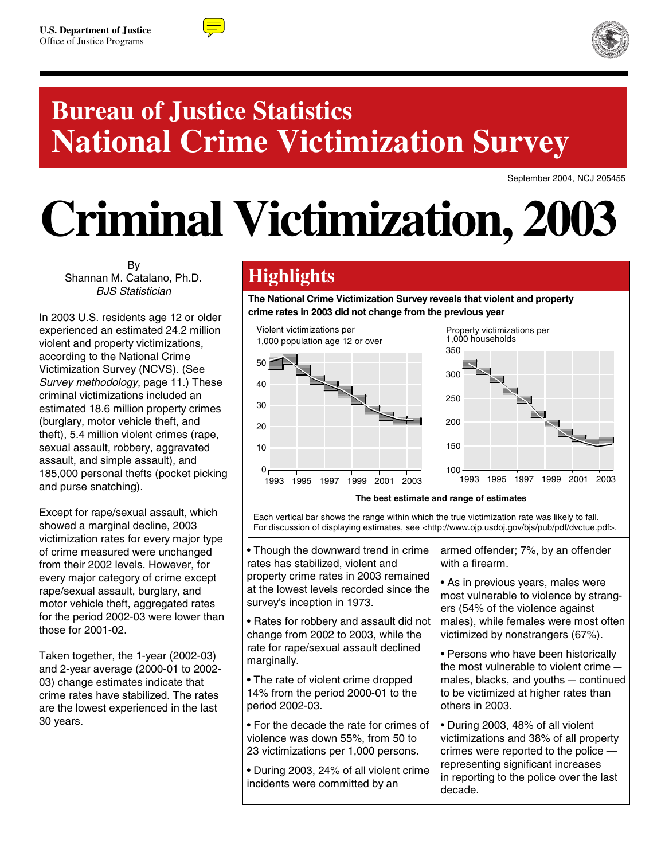



## **Bureau of Justice Statistics National Crime Victimization Survey**

September 2004, NCJ 205455

# **Criminal Victimization, 2003**

By Shannan M. Catalano, Ph.D. BJS Statistician

In 2003 U.S. residents age 12 or older experienced an estimated 24.2 million violent and property victimizations, according to the National Crime Victimization Survey (NCVS). (See Survey methodology, page 11.) These criminal victimizations included an estimated 18.6 million property crimes (burglary, motor vehicle theft, and theft), 5.4 million violent crimes (rape, sexual assault, robbery, aggravated assault, and simple assault), and 185,000 personal thefts (pocket picking and purse snatching).

Except for rape/sexual assault, which showed a marginal decline, 2003 victimization rates for every major type of crime measured were unchanged from their 2002 levels. However, for every major category of crime except rape/sexual assault, burglary, and motor vehicle theft, aggregated rates for the period 2002-03 were lower than those for 2001-02.

Taken together, the 1-year (2002-03) and 2-year average (2000-01 to 2002- 03) change estimates indicate that crime rates have stabilized. The rates are the lowest experienced in the last 30 years.

## **Highlights**

**The National Crime Victimization Survey reveals that violent and property crime rates in 2003 did not change from the previous year** 



#### **The best estimate and range of estimates**

Each vertical bar shows the range within which the true victimization rate was likely to fall. For discussion of displaying estimates, see <http://www.ojp.usdoj.gov/bjs/pub/pdf/dvctue.pdf>.

• Though the downward trend in crime rates has stabilized, violent and property crime rates in 2003 remained at the lowest levels recorded since the survey's inception in 1973.

• Rates for robbery and assault did not change from 2002 to 2003, while the rate for rape/sexual assault declined marginally.

• The rate of violent crime dropped 14% from the period 2000-01 to the period 2002-03.

• For the decade the rate for crimes of violence was down 55%, from 50 to 23 victimizations per 1,000 persons.

• During 2003, 24% of all violent crime incidents were committed by an

armed offender; 7%, by an offender with a firearm.

• As in previous years, males were most vulnerable to violence by strangers (54% of the violence against males), while females were most often victimized by nonstrangers (67%).

• Persons who have been historically the most vulnerable to violent crime males, blacks, and youths  $-$  continued to be victimized at higher rates than others in 2003.

• During 2003, 48% of all violent victimizations and 38% of all property crimes were reported to the police representing significant increases in reporting to the police over the last decade.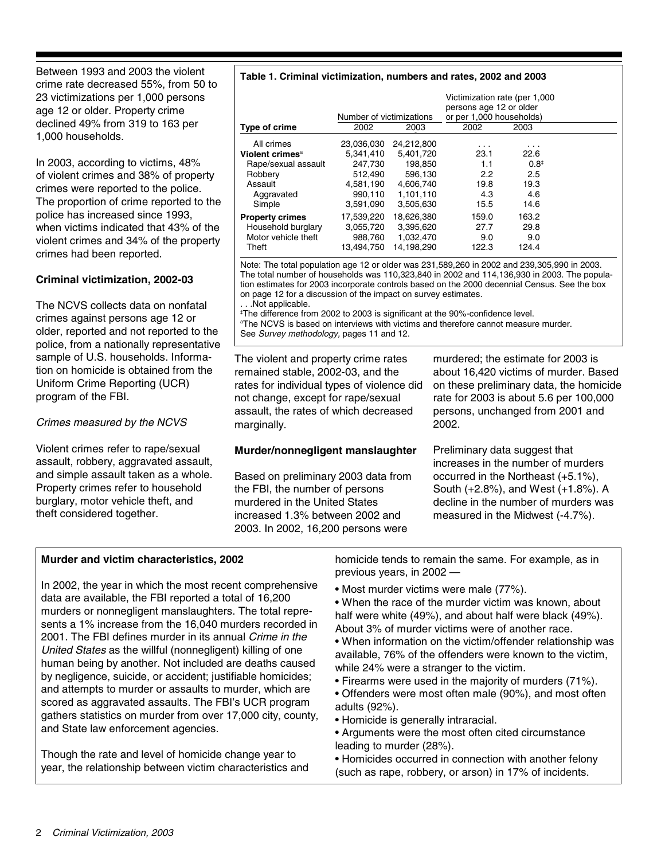Between 1993 and 2003 the violent crime rate decreased 55%, from 50 to 23 victimizations per 1,000 persons age 12 or older. Property crime declined 49% from 319 to 163 per 1,000 households.

In 2003, according to victims, 48% of violent crimes and 38% of property crimes were reported to the police. The proportion of crime reported to the police has increased since 1993, when victims indicated that 43% of the violent crimes and 34% of the property crimes had been reported.

#### **Criminal victimization, 2002-03**

The NCVS collects data on nonfatal crimes against persons age 12 or older, reported and not reported to the police, from a nationally representative sample of U.S. households. Information on homicide is obtained from the Uniform Crime Reporting (UCR) program of the FBI.

#### Crimes measured by the NCVS

Violent crimes refer to rape/sexual assault, robbery, aggravated assault, and simple assault taken as a whole. Property crimes refer to household burglary, motor vehicle theft, and theft considered together.

#### **Table 1. Criminal victimization, numbers and rates, 2002 and 2003**

|                                                                                                                | Number of victimizations                                                           |                                                                                      | Victimization rate (per 1,000<br>persons age 12 or older<br>or per 1,000 households) |                                                        |  |
|----------------------------------------------------------------------------------------------------------------|------------------------------------------------------------------------------------|--------------------------------------------------------------------------------------|--------------------------------------------------------------------------------------|--------------------------------------------------------|--|
| Type of crime                                                                                                  | 2002                                                                               | 2003                                                                                 | 2002                                                                                 | 2003                                                   |  |
| All crimes<br>Violent crimes <sup>a</sup><br>Rape/sexual assault<br>Robbery<br>Assault<br>Aggravated<br>Simple | 23,036,030<br>5.341.410<br>247,730<br>512.490<br>4.581.190<br>990.110<br>3.591.090 | 24,212,800<br>5.401.720<br>198.850<br>596.130<br>4.606.740<br>1.101.110<br>3.505.630 | 23.1<br>1.1<br>2.2<br>19.8<br>4.3<br>15.5                                            | 22.6<br>$0.8^{\ddagger}$<br>2.5<br>19.3<br>4.6<br>14.6 |  |
| <b>Property crimes</b><br>Household burglary<br>Motor vehicle theft<br>Theft                                   | 17,539,220<br>3,055,720<br>988,760<br>13.494.750                                   | 18,626,380<br>3.395.620<br>1,032,470<br>14.198.290                                   | 159.0<br>27.7<br>9.0<br>122.3                                                        | 163.2<br>29.8<br>9.0<br>124.4                          |  |

Note: The total population age 12 or older was 231,589,260 in 2002 and 239,305,990 in 2003. The total number of households was 110,323,840 in 2002 and 114,136,930 in 2003. The population estimates for 2003 incorporate controls based on the 2000 decennial Census. See the box on page 12 for a discussion of the impact on survey estimates.

. . .Not applicable.

I The difference from 2002 to 2003 is significant at the 90%-confidence level. <sup>a</sup>The NCVS is based on interviews with victims and therefore cannot measure murder. See Survey methodology, pages 11 and 12.

The violent and property crime rates remained stable, 2002-03, and the rates for individual types of violence did not change, except for rape/sexual assault, the rates of which decreased marginally.

#### **Murder/nonnegligent manslaughter**

Based on preliminary 2003 data from the FBI, the number of persons murdered in the United States increased 1.3% between 2002 and 2003. In 2002, 16,200 persons were

murdered; the estimate for 2003 is about 16,420 victims of murder. Based on these preliminary data, the homicide rate for 2003 is about 5.6 per 100,000 persons, unchanged from 2001 and 2002.

Preliminary data suggest that increases in the number of murders occurred in the Northeast (+5.1%), South (+2.8%), and West (+1.8%). A decline in the number of murders was measured in the Midwest (-4.7%).

#### **Murder and victim characteristics, 2002**

In 2002, the year in which the most recent comprehensive data are available, the FBI reported a total of 16,200 murders or nonnegligent manslaughters. The total represents a 1% increase from the 16,040 murders recorded in 2001. The FBI defines murder in its annual Crime in the United States as the willful (nonnegligent) killing of one human being by another. Not included are deaths caused by negligence, suicide, or accident; justifiable homicides; and attempts to murder or assaults to murder, which are scored as aggravated assaults. The FBI's UCR program gathers statistics on murder from over 17,000 city, county, and State law enforcement agencies.

Though the rate and level of homicide change year to year, the relationship between victim characteristics and homicide tends to remain the same. For example, as in previous years, in 2002 —

• Most murder victims were male (77%).

• When the race of the murder victim was known, about half were white (49%), and about half were black (49%). About 3% of murder victims were of another race.

- When information on the victim/offender relationship was available, 76% of the offenders were known to the victim, while 24% were a stranger to the victim.
- Firearms were used in the majority of murders (71%).
- Offenders were most often male (90%), and most often adults (92%).
- Homicide is generally intraracial.
- Arguments were the most often cited circumstance leading to murder (28%).
- Homicides occurred in connection with another felony (such as rape, robbery, or arson) in 17% of incidents.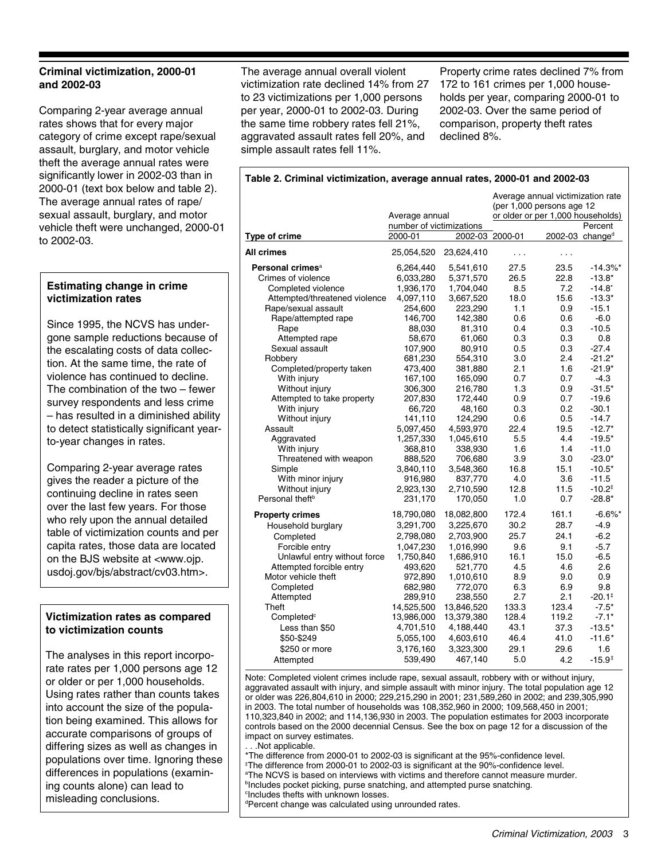#### **Criminal victimization, 2000-01 and 2002-03**

Comparing 2-year average annual rates shows that for every major category of crime except rape/sexual assault, burglary, and motor vehicle theft the average annual rates were significantly lower in 2002-03 than in 2000-01 (text box below and table 2). The average annual rates of rape/ sexual assault, burglary, and motor vehicle theft were unchanged, 2000-01 to 2002-03.

#### **Estimating change in crime victimization rates**

Since 1995, the NCVS has undergone sample reductions because of the escalating costs of data collection. At the same time, the rate of violence has continued to decline. The combination of the two – fewer survey respondents and less crime – has resulted in a diminished ability to detect statistically significant yearto-year changes in rates.

Comparing 2-year average rates gives the reader a picture of the continuing decline in rates seen over the last few years. For those who rely upon the annual detailed table of victimization counts and per capita rates, those data are located on the BJS website at <www.ojp. usdoj.gov/bjs/abstract/cv03.htm>.

#### **Victimization rates as compared to victimization counts**

The analyses in this report incorporate rates per 1,000 persons age 12 or older or per 1,000 households. Using rates rather than counts takes into account the size of the population being examined. This allows for accurate comparisons of groups of differing sizes as well as changes in populations over time. Ignoring these differences in populations (examining counts alone) can lead to misleading conclusions.

The average annual overall violent victimization rate declined 14% from 27 to 23 victimizations per 1,000 persons per year, 2000-01 to 2002-03. During the same time robbery rates fell 21%, aggravated assault rates fell 20%, and simple assault rates fell 11%.

Property crime rates declined 7% from 172 to 161 crimes per 1,000 households per year, comparing 2000-01 to 2002-03. Over the same period of comparison, property theft rates declined 8%.

#### **Table 2. Criminal victimization, average annual rates, 2000-01 and 2002-03**

|                               | Average annual                          |            | Average annual victimization rate<br>(per 1,000 persons age 12<br>or older or per 1,000 households) |                             |                        |  |
|-------------------------------|-----------------------------------------|------------|-----------------------------------------------------------------------------------------------------|-----------------------------|------------------------|--|
| Type of crime                 | number of victimizations<br>$2000 - 01$ |            | 2002-03 2000-01                                                                                     | 2002-03 change <sup>d</sup> | Percent                |  |
| All crimes                    |                                         |            |                                                                                                     |                             |                        |  |
|                               | 25,054,520                              | 23,624,410 | .                                                                                                   | .                           |                        |  |
| Personal crimes <sup>a</sup>  | 6,264,440                               | 5,541,610  | 27.5                                                                                                | 23.5                        | $-14.3\%$ <sup>*</sup> |  |
| Crimes of violence            | 6,033,280                               | 5,371,570  | 26.5                                                                                                | 22.8                        | $-13.8*$               |  |
| Completed violence            | 1,936,170                               | 1,704,040  | 8.5                                                                                                 | 7.2                         | $-14.8^*$              |  |
| Attempted/threatened violence | 4,097,110                               | 3,667,520  | 18.0                                                                                                | 15.6                        | $-13.3*$               |  |
| Rape/sexual assault           | 254,600                                 | 223,290    | 1.1                                                                                                 | 0.9                         | $-15.1$                |  |
| Rape/attempted rape           | 146,700                                 | 142,380    | 0.6                                                                                                 | 0.6                         | $-6.0$                 |  |
| Rape                          | 88,030                                  | 81,310     | 0.4                                                                                                 | 0.3                         | $-10.5$                |  |
| Attempted rape                | 58,670                                  | 61,060     | 0.3                                                                                                 | 0.3                         | 0.8                    |  |
| Sexual assault                | 107,900                                 | 80,910     | 0.5                                                                                                 | 0.3                         | -27.4                  |  |
| Robbery                       | 681,230                                 | 554,310    | 3.0                                                                                                 | 2.4                         | $-21.2*$               |  |
| Completed/property taken      | 473,400                                 | 381,880    | 2.1                                                                                                 | 1.6                         | $-21.9*$               |  |
| With injury                   | 167,100                                 | 165,090    | 0.7                                                                                                 | 0.7                         | $-4.3$                 |  |
| Without injury                | 306,300                                 | 216,780    | 1.3                                                                                                 | 0.9                         | $-31.5*$               |  |
| Attempted to take property    | 207,830                                 | 172,440    | 0.9                                                                                                 | 0.7                         | $-19.6$                |  |
| With injury                   | 66,720                                  | 48,160     | 0.3                                                                                                 | 0.2                         | $-30.1$                |  |
| Without injury                | 141,110                                 | 124,290    | 0.6                                                                                                 | 0.5                         | $-14.7$                |  |
| Assault                       | 5,097,450                               | 4,593,970  | 22.4                                                                                                | 19.5                        | $-12.7*$               |  |
| Aggravated                    | 1,257,330                               | 1,045,610  | 5.5                                                                                                 | 4.4                         | $-19.5*$               |  |
| With injury                   | 368,810                                 | 338,930    | 1.6                                                                                                 | 1.4                         | $-11.0$                |  |
| Threatened with weapon        | 888,520                                 | 706,680    | 3.9                                                                                                 | 3.0                         | $-23.0*$               |  |
| Simple                        | 3,840,110                               | 3,548,360  | 16.8                                                                                                | 15.1                        | $-10.5*$               |  |
| With minor injury             | 916,980                                 | 837,770    | 4.0                                                                                                 | 3.6                         | $-11.5$                |  |
| Without injury                | 2,923,130                               | 2,710,590  | 12.8                                                                                                | 11.5                        | $-10.2^{\ddagger}$     |  |
| Personal theft <sup>b</sup>   | 231,170                                 | 170,050    | 1.0                                                                                                 | 0.7                         | $-28.8*$               |  |
| <b>Property crimes</b>        | 18,790,080                              | 18,082,800 | 172.4                                                                                               | 161.1                       | $-6.6\%$ *             |  |
| Household burglary            | 3,291,700                               | 3,225,670  | 30.2                                                                                                | 28.7                        | $-4.9$                 |  |
| Completed                     | 2,798,080                               | 2,703,900  | 25.7                                                                                                | 24.1                        | $-6.2$                 |  |
| Forcible entry                | 1,047,230                               | 1,016,990  | 9.6                                                                                                 | 9.1                         | $-5.7$                 |  |
| Unlawful entry without force  | 1,750,840                               | 1,686,910  | 16.1                                                                                                | 15.0                        | $-6.5$                 |  |
| Attempted forcible entry      | 493,620                                 | 521,770    | 4.5                                                                                                 | 4.6                         | 2.6                    |  |
| Motor vehicle theft           | 972,890                                 | 1,010,610  | 8.9                                                                                                 | 9.0                         | 0.9                    |  |
| Completed                     | 682,980                                 | 772,070    | 6.3                                                                                                 | 6.9                         | 9.8                    |  |
| Attempted                     | 289,910                                 | 238,550    | 2.7                                                                                                 | 2.1                         | $-20.1$ <sup>‡</sup>   |  |
| Theft                         | 14,525,500                              | 13,846,520 | 133.3                                                                                               | 123.4                       | $-7.5*$                |  |
| Completed <sup>c</sup>        | 13,986,000                              | 13,379,380 | 128.4                                                                                               | 119.2                       | $-7.1*$                |  |
| Less than \$50                | 4,701,510                               | 4,188,440  | 43.1                                                                                                | 37.3                        | $-13.5*$               |  |
| \$50-\$249                    | 5,055,100                               | 4,603,610  | 46.4                                                                                                | 41.0                        | $-11.6*$               |  |
| \$250 or more                 | 3,176,160                               | 3,323,300  | 29.1                                                                                                | 29.6                        | 1.6                    |  |
| Attempted                     | 539,490                                 | 467,140    | 5.0                                                                                                 | 4.2                         | $-15.9^+$              |  |
|                               |                                         |            |                                                                                                     |                             |                        |  |

Note: Completed violent crimes include rape, sexual assault, robbery with or without injury, aggravated assault with injury, and simple assault with minor injury. The total population age 12 or older was 226,804,610 in 2000; 229,215,290 in 2001; 231,589,260 in 2002; and 239,305,990 in 2003. The total number of households was 108,352,960 in 2000; 109,568,450 in 2001; 110,323,840 in 2002; and 114,136,930 in 2003. The population estimates for 2003 incorporate controls based on the 2000 decennial Census. See the box on page 12 for a discussion of the impact on survey estimates.

. . .Not applicable.

\*The difference from 2000-01 to 2002-03 is significant at the 95%-confidence level.

I The difference from 2000-01 to 2002-03 is significant at the 90%-confidence level.

a The NCVS is based on interviews with victims and therefore cannot measure murder.

**bIncludes pocket picking, purse snatching, and attempted purse snatching.** 

c Includes thefts with unknown losses.

d Percent change was calculated using unrounded rates.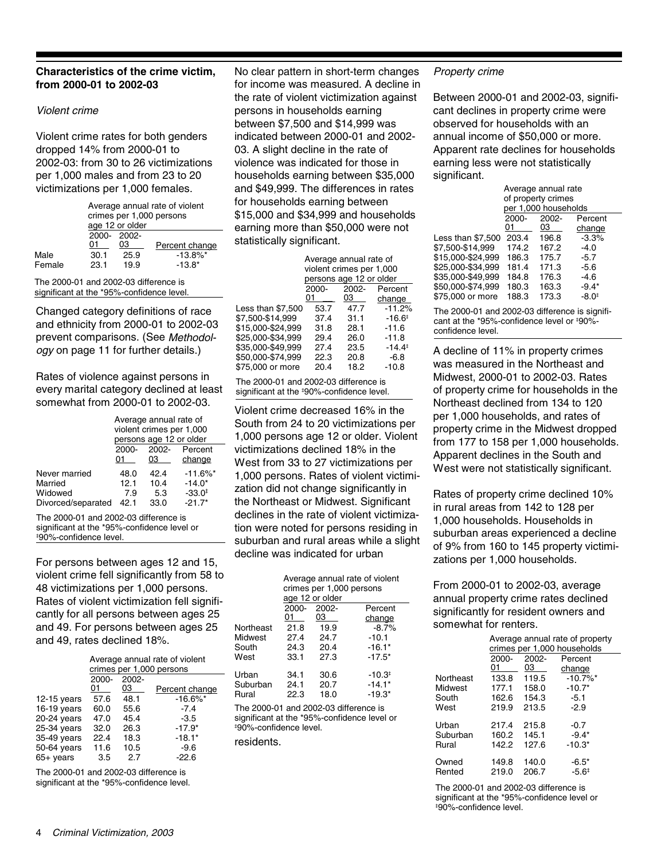#### **Characteristics of the crime victim, from 2000-01 to 2002-03**

#### Violent crime

Violent crime rates for both genders dropped 14% from 2000-01 to 2002-03: from 30 to 26 victimizations per 1,000 males and from 23 to 20 victimizations per 1,000 females.

|        | Average annual rate of violent<br>crimes per 1,000 persons<br>age 12 or older |                 |                        |  |  |  |  |  |
|--------|-------------------------------------------------------------------------------|-----------------|------------------------|--|--|--|--|--|
|        | 01                                                                            | 2000 2002<br>03 | Percent change         |  |  |  |  |  |
| Male   | 30.1                                                                          | 25.9            | $-13.8\%$ <sup>*</sup> |  |  |  |  |  |
| Female | 23.1                                                                          | 19.9            | $-13.8*$               |  |  |  |  |  |
|        |                                                                               |                 |                        |  |  |  |  |  |

The 2000-01 and 2002-03 difference is significant at the \*95%-confidence level.

Changed category definitions of race and ethnicity from 2000-01 to 2002-03 prevent comparisons. (See Methodology on page 11 for further details.)

Rates of violence against persons in every marital category declined at least somewhat from 2000-01 to 2002-03.

|                    | Average annual rate of<br>violent crimes per 1,000<br>persons age 12 or older |          |                    |  |  |  |
|--------------------|-------------------------------------------------------------------------------|----------|--------------------|--|--|--|
|                    | 2000-                                                                         | $2002 -$ | Percent            |  |  |  |
|                    | 01                                                                            | 03       | change             |  |  |  |
| Never married      | 48.0                                                                          | 42.4     | $-11.6\%$ *        |  |  |  |
| Married            | 12.1                                                                          | 10.4     | $-14.0*$           |  |  |  |
| Widowed            | 7.9                                                                           | 5.3      | $-33.0^{\ddagger}$ |  |  |  |
| Divorced/separated | 42.1                                                                          | 33.0     | $-21.7*$           |  |  |  |

The 2000-01 and 2002-03 difference is significant at the \*95%-confidence level or I 90%-confidence level.

For persons between ages 12 and 15, violent crime fell significantly from 58 to 48 victimizations per 1,000 persons. Rates of violent victimization fell significantly for all persons between ages 25 and 49. For persons between ages 25 and 49, rates declined 18%.

|               | Average annual rate of violent<br>crimes per 1,000 persons |       |                |  |  |  |  |  |
|---------------|------------------------------------------------------------|-------|----------------|--|--|--|--|--|
|               | $2000 -$                                                   | 2002- |                |  |  |  |  |  |
|               | 01                                                         | 03    | Percent change |  |  |  |  |  |
| $12-15$ years | 57.6                                                       | 48.1  | $-16.6\%$ *    |  |  |  |  |  |
| 16-19 years   | 60.0                                                       | 55.6  | $-7.4$         |  |  |  |  |  |
| 20-24 years   | 47.0                                                       | 45.4  | $-3.5$         |  |  |  |  |  |
| 25-34 years   | 32.0                                                       | 26.3  | $-17.9*$       |  |  |  |  |  |
| 35-49 vears   | 22.4                                                       | 18.3  | $-18.1*$       |  |  |  |  |  |
| 50-64 years   | 11.6                                                       | 10.5  | $-9.6$         |  |  |  |  |  |
| 65+ years     | 3.5                                                        | 2.7   | $-22.6$        |  |  |  |  |  |
|               |                                                            |       |                |  |  |  |  |  |

The 2000-01 and 2002-03 difference is significant at the \*95%-confidence level.

No clear pattern in short-term changes for income was measured. A decline in the rate of violent victimization against persons in households earning between \$7,500 and \$14,999 was indicated between 2000-01 and 2002- 03. A slight decline in the rate of violence was indicated for those in households earning between \$35,000 and \$49,999. The differences in rates for households earning between \$15,000 and \$34,999 and households earning more than \$50,000 were not statistically significant.

|                   | Average annual rate of   |          |                    |  |  |  |  |  |
|-------------------|--------------------------|----------|--------------------|--|--|--|--|--|
|                   | violent crimes per 1,000 |          |                    |  |  |  |  |  |
|                   | persons age 12 or older  |          |                    |  |  |  |  |  |
|                   | $2000 -$                 | $2002 -$ | Percent            |  |  |  |  |  |
|                   | 01                       | 03       | change             |  |  |  |  |  |
| Less than \$7,500 | 53.7                     | 47.7     | $-11.2%$           |  |  |  |  |  |
| \$7.500-\$14.999  | 37.4                     | 31.1     | $-16.6^{\ddagger}$ |  |  |  |  |  |
| \$15.000-\$24.999 | 31.8                     | 28.1     | $-11.6$            |  |  |  |  |  |
| \$25.000-\$34.999 | 29.4                     | 26.0     | $-11.8$            |  |  |  |  |  |
| \$35.000-\$49.999 | 27.4                     | 23.5     | $-14.4^{\ddagger}$ |  |  |  |  |  |
| \$50.000-\$74.999 | 22.3                     | 20.8     | $-6.8$             |  |  |  |  |  |
| \$75.000 or more  | 20.4                     | 18.2     | $-10.8$            |  |  |  |  |  |
|                   |                          |          |                    |  |  |  |  |  |

The 2000-01 and 2002-03 difference is significant at the ‡90%-confidence level.

Violent crime decreased 16% in the South from 24 to 20 victimizations per 1,000 persons age 12 or older. Violent victimizations declined 18% in the West from 33 to 27 victimizations per 1,000 persons. Rates of violent victimization did not change significantly in the Northeast or Midwest. Significant declines in the rate of violent victimization were noted for persons residing in suburban and rural areas while a slight decline was indicated for urban

|           | Average annual rate of violent<br>crimes per 1,000 persons<br>age 12 or older |          |                      |  |  |  |  |  |
|-----------|-------------------------------------------------------------------------------|----------|----------------------|--|--|--|--|--|
|           | 2000-                                                                         | $2002 -$ | Percent              |  |  |  |  |  |
|           | 01                                                                            | 03       | change               |  |  |  |  |  |
| Northeast | 21.8                                                                          | 19.9     | $-8.7%$              |  |  |  |  |  |
| Midwest   | 27.4                                                                          | 24.7     | $-10.1$              |  |  |  |  |  |
| South     | 24.3                                                                          | 20.4     | $-16.1*$             |  |  |  |  |  |
| West      | 33.1                                                                          | 27.3     | $-17.5*$             |  |  |  |  |  |
| Urban     | 34.1                                                                          | 30.6     | $-10.3$ <sup>#</sup> |  |  |  |  |  |
| Suburban  | 24.1                                                                          | 20.7     | $-14.1*$             |  |  |  |  |  |
| Rural     | 22.3                                                                          | 18.0     | $-19.3*$             |  |  |  |  |  |
|           |                                                                               |          |                      |  |  |  |  |  |

The 2000-01 and 2002-03 difference is significant at the \*95%-confidence level or I 90%-confidence level.

residents.

#### Property crime

Between 2000-01 and 2002-03, significant declines in property crime were observed for households with an annual income of \$50,000 or more. Apparent rate declines for households earning less were not statistically significant.

|                   |                    | Average annual rate  |                   |  |  |  |  |
|-------------------|--------------------|----------------------|-------------------|--|--|--|--|
|                   | of property crimes |                      |                   |  |  |  |  |
|                   |                    | per 1,000 households |                   |  |  |  |  |
|                   | 2000-              | 2002-                | Percent           |  |  |  |  |
|                   | 01                 | 03                   | change            |  |  |  |  |
| Less than \$7.500 | 203.4              | 196.8                | $-3.3%$           |  |  |  |  |
| \$7.500-\$14.999  | 174.2              | 167.2                | $-4.0$            |  |  |  |  |
| \$15.000-\$24.999 | 186.3              | 175.7                | $-5.7$            |  |  |  |  |
| \$25.000-\$34.999 | 181.4              | 171.3                | $-5.6$            |  |  |  |  |
| \$35.000-\$49.999 | 184.8              | 176.3                | -4.6              |  |  |  |  |
| \$50.000-\$74.999 | 180.3              | 163.3                | $-9.4*$           |  |  |  |  |
| \$75.000 or more  | 188.3              | 173.3                | $-8.0^{\ddagger}$ |  |  |  |  |
|                   |                    |                      |                   |  |  |  |  |

The 2000-01 and 2002-03 difference is significant at the \*95%-confidence level or ‡90%confidence level.

A decline of 11% in property crimes was measured in the Northeast and Midwest, 2000-01 to 2002-03. Rates of property crime for households in the Northeast declined from 134 to 120 per 1,000 households, and rates of property crime in the Midwest dropped from 177 to 158 per 1,000 households. Apparent declines in the South and West were not statistically significant.

Rates of property crime declined 10% in rural areas from 142 to 128 per 1,000 households. Households in suburban areas experienced a decline of 9% from 160 to 145 property victimizations per 1,000 households.

From 2000-01 to 2002-03, average annual property crime rates declined significantly for resident owners and somewhat for renters.

| Average annual rate of property<br>crimes per 1,000 households |                |             |                        |  |  |  |  |  |
|----------------------------------------------------------------|----------------|-------------|------------------------|--|--|--|--|--|
|                                                                | $2000 -$<br>01 | 2002-<br>03 | Percent<br>change      |  |  |  |  |  |
| Northeast                                                      | 133.8          | 119.5       | $-10.7\%$ <sup>*</sup> |  |  |  |  |  |
| Midwest                                                        | 177.1          | 158.0       | $-10.7*$               |  |  |  |  |  |
| South                                                          | 162.6          | 154.3       | $-5.1$                 |  |  |  |  |  |
| West                                                           | 219.9          | 213.5       | $-2.9$                 |  |  |  |  |  |
| Urban                                                          | 217.4          | 215.8       | $-0.7$                 |  |  |  |  |  |
| Suburban                                                       | 160.2          | 145.1       | $-9.4*$                |  |  |  |  |  |
| Rural                                                          | 142.2          | 127.6       | $-10.3*$               |  |  |  |  |  |
| Owned                                                          | 149.8          | 140.0       | $-6.5*$                |  |  |  |  |  |
| Rented                                                         | 219.0          | 206.7       | $-5.6^{\ddagger}$      |  |  |  |  |  |

The 2000-01 and 2002-03 difference is significant at the \*95%-confidence level or I 90%-confidence level.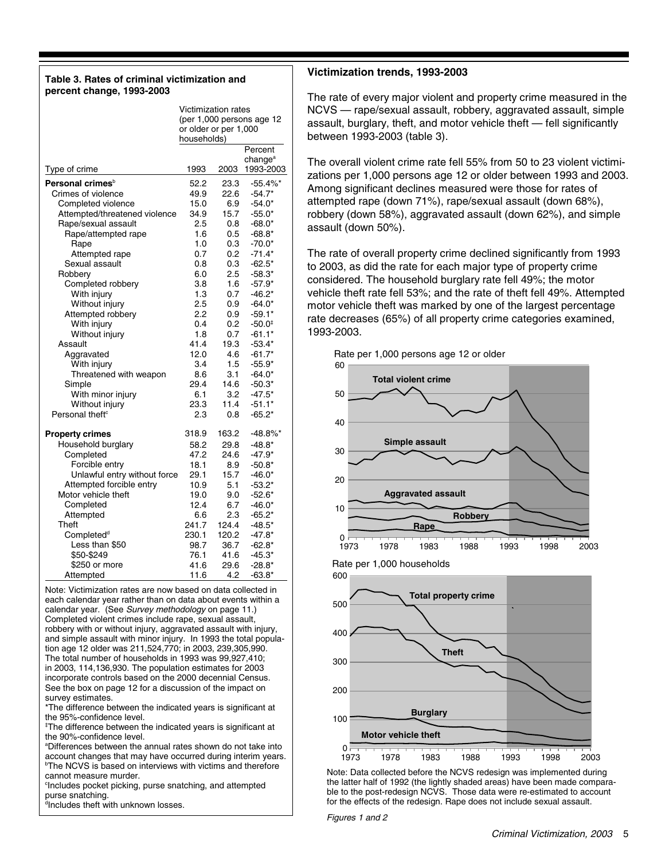#### **Table 3. Rates of criminal victimization and percent change, 1993-2003**

|                                               | Victimization rates       |            |                              |  |  |  |
|-----------------------------------------------|---------------------------|------------|------------------------------|--|--|--|
|                                               | (per 1,000 persons age 12 |            |                              |  |  |  |
|                                               | or older or per 1,000     |            |                              |  |  |  |
|                                               | households)               |            |                              |  |  |  |
|                                               |                           |            | Percent                      |  |  |  |
|                                               |                           |            | change <sup>a</sup>          |  |  |  |
| Type of crime                                 | 1993                      | 2003       | 1993-2003                    |  |  |  |
| Personal crimes <sup>b</sup>                  | 52.2                      | 23.3       | $-55.4%$                     |  |  |  |
| Crimes of violence                            | 49.9                      | 22.6       | $-54.7*$                     |  |  |  |
| Completed violence                            | 15.0                      | 6.9        | $-54.0*$                     |  |  |  |
| Attempted/threatened violence                 | 34.9                      | 15.7       | $-55.0*$                     |  |  |  |
| Rape/sexual assault                           | 2.5                       | 0.8        | $-68.0*$                     |  |  |  |
| Rape/attempted rape                           | 1.6                       | 0.5        | $-68.8*$                     |  |  |  |
| Rape                                          | 1.0                       | 0.3        | $-70.0*$                     |  |  |  |
| Attempted rape                                | 0.7                       | 0.2        | -71.4*                       |  |  |  |
| Sexual assault                                | 0.8                       | 0.3        | $-62.5*$                     |  |  |  |
| Robbery                                       | 6.0                       | 2.5        | $-58.3*$                     |  |  |  |
| Completed robbery                             | 3.8                       | 1.6        | $-57.9*$                     |  |  |  |
| With injury                                   | 1.3                       | 0.7        | $-46.2*$                     |  |  |  |
| Without injury                                | 2.5                       | 0.9        | -64.0*                       |  |  |  |
| Attempted robbery                             | 2.2                       | 0.9        |                              |  |  |  |
| With injury                                   | 0.4                       | 0.2        | -59.1*<br>$-50.0^{\ddagger}$ |  |  |  |
|                                               | 1.8                       | 0.7        |                              |  |  |  |
| Without injury                                | 41.4                      | 19.3       | -61.1*<br>$-53.4*$           |  |  |  |
| Assault                                       | 12.0                      |            |                              |  |  |  |
| Aggravated                                    | 3.4                       | 4.6<br>1.5 | -61.7*                       |  |  |  |
| With injury                                   | 8.6                       | 3.1        | $-55.9*$                     |  |  |  |
| Threatened with weapon                        | 29.4                      | 14.6       | $-64.0*$                     |  |  |  |
| Simple                                        | 6.1                       | 3.2        | -50.3*                       |  |  |  |
| With minor injury                             |                           |            | $-47.5*$                     |  |  |  |
| Without injury<br>Personal theft <sup>c</sup> | 23.3                      | 11.4       | $-51.1*$                     |  |  |  |
|                                               | 2.3                       | 0.8        | $-65.2*$                     |  |  |  |
| <b>Property crimes</b>                        | 318.9                     | 163.2      | -48.8%*                      |  |  |  |
| Household burglary                            | 58.2                      | 29.8       | $-48.8*$                     |  |  |  |
| Completed                                     | 47.2                      | 24.6       | -47.9*                       |  |  |  |
| Forcible entry                                | 18.1                      | 8.9        | $-50.8*$                     |  |  |  |
| Unlawful entry without force                  | 29.1                      | 15.7       | $-46.0*$                     |  |  |  |
| Attempted forcible entry                      | 10.9                      | 5.1        | $-53.2*$                     |  |  |  |
| Motor vehicle theft                           | 19.0                      | 9.0        | $-52.6*$                     |  |  |  |
| Completed                                     | 12.4                      | 6.7        | $-46.0*$                     |  |  |  |
| Attempted                                     | 6.6                       | 2.3        | -65.2*                       |  |  |  |
| Theft                                         | 241.7                     | 124.4      | -48.5*                       |  |  |  |
| Completed <sup>d</sup>                        | 230.1                     | 120.2      | -47.8*                       |  |  |  |
| Less than \$50                                | 98.7                      | 36.7       | -62.8*                       |  |  |  |
| \$50-\$249                                    | 76.1                      | 41.6       | $-45.3*$                     |  |  |  |
| \$250 or more                                 | 41.6                      | 29.6       | $-28.8*$                     |  |  |  |
| Attempted                                     | 11.6                      | 4.2        | -63.8*                       |  |  |  |
|                                               |                           |            |                              |  |  |  |

Note: Victimization rates are now based on data collected in each calendar year rather than on data about events within a calendar year. (See Survey methodology on page 11.) Completed violent crimes include rape, sexual assault, robbery with or without injury, aggravated assault with injury, and simple assault with minor injury. In 1993 the total population age 12 older was 211,524,770; in 2003, 239,305,990. The total number of households in 1993 was 99,927,410; in 2003, 114,136,930. The population estimates for 2003 incorporate controls based on the 2000 decennial Census. See the box on page 12 for a discussion of the impact on survey estimates.

\*The difference between the indicated years is significant at the 95%-confidence level.

‡ The difference between the indicated years is significant at the 90%-confidence level.

a Differences between the annual rates shown do not take into account changes that may have occurred during interim years. **The NCVS** is based on interviews with victims and therefore cannot measure murder.

c Includes pocket picking, purse snatching, and attempted purse snatching.

dIncludes theft with unknown losses.

#### **Victimization trends, 1993-2003**

The rate of every major violent and property crime measured in the NCVS — rape/sexual assault, robbery, aggravated assault, simple assault, burglary, theft, and motor vehicle theft — fell significantly between 1993-2003 (table 3).

The overall violent crime rate fell 55% from 50 to 23 violent victimizations per 1,000 persons age 12 or older between 1993 and 2003. Among significant declines measured were those for rates of attempted rape (down 71%), rape/sexual assault (down 68%), robbery (down 58%), aggravated assault (down 62%), and simple assault (down 50%).

The rate of overall property crime declined significantly from 1993 to 2003, as did the rate for each major type of property crime considered. The household burglary rate fell 49%; the motor vehicle theft rate fell 53%; and the rate of theft fell 49%. Attempted motor vehicle theft was marked by one of the largest percentage rate decreases (65%) of all property crime categories examined, 1993-2003.









Note: Data collected before the NCVS redesign was implemented during the latter half of 1992 (the lightly shaded areas) have been made comparable to the post-redesign NCVS. Those data were re-estimated to account for the effects of the redesign. Rape does not include sexual assault.

Figures 1 and 2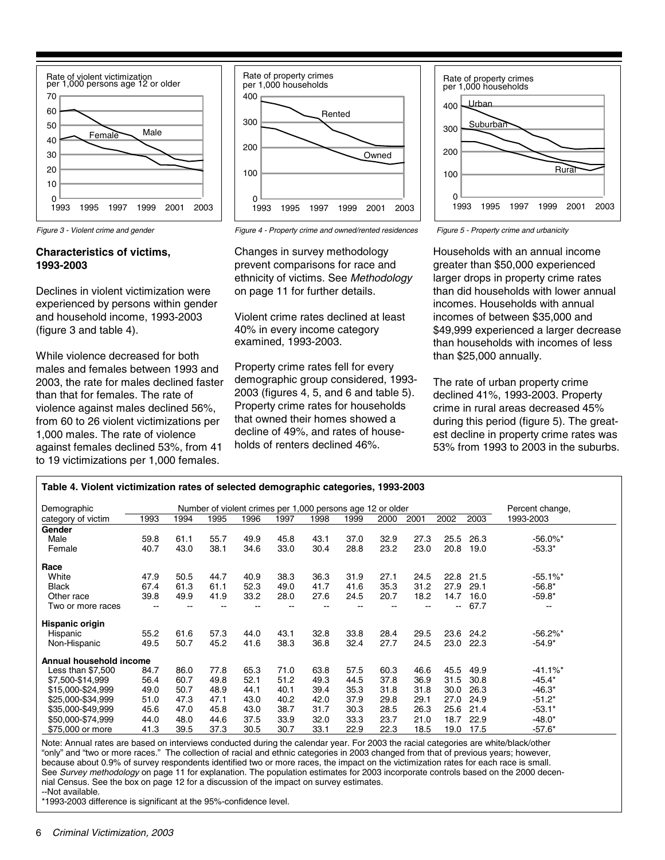



#### **Characteristics of victims, 1993-2003**

Declines in violent victimization were experienced by persons within gender and household income, 1993-2003 (figure 3 and table 4).

While violence decreased for both males and females between 1993 and 2003, the rate for males declined faster than that for females. The rate of violence against males declined 56%, from 60 to 26 violent victimizations per 1,000 males. The rate of violence against females declined 53%, from 41 to 19 victimizations per 1,000 females.



Figure 3 - Violent crime and gender Figure 4 - Property crime and owned/rented residences Figure 5 - Property crime and urbanicity

Changes in survey methodology prevent comparisons for race and ethnicity of victims. See Methodology on page 11 for further details.

Violent crime rates declined at least 40% in every income category examined, 1993-2003.

Property crime rates fell for every demographic group considered, 1993- 2003 (figures 4, 5, and 6 and table 5). Property crime rates for households that owned their homes showed a decline of 49%, and rates of households of renters declined 46%.



Households with an annual income greater than \$50,000 experienced larger drops in property crime rates than did households with lower annual incomes. Households with annual incomes of between \$35,000 and \$49,999 experienced a larger decrease than households with incomes of less than \$25,000 annually.

The rate of urban property crime declined 41%, 1993-2003. Property crime in rural areas decreased 45% during this period (figure 5). The greatest decline in property crime rates was 53% from 1993 to 2003 in the suburbs.

| Table 4. Violent victimization rates of selected demographic categories, 1993-2003 |                                                            |      |      |      |      |      |      |      |      |                          |      |                        |
|------------------------------------------------------------------------------------|------------------------------------------------------------|------|------|------|------|------|------|------|------|--------------------------|------|------------------------|
| Demographic                                                                        | Number of violent crimes per 1,000 persons age 12 or older |      |      |      |      |      |      |      |      | Percent change,          |      |                        |
| category of victim                                                                 | 1993                                                       | 1994 | 1995 | 1996 | 1997 | 1998 | 1999 | 2000 | 2001 | 2002                     | 2003 | 1993-2003              |
| Gender                                                                             |                                                            |      |      |      |      |      |      |      |      |                          |      |                        |
| Male                                                                               | 59.8                                                       | 61.1 | 55.7 | 49.9 | 45.8 | 43.1 | 37.0 | 32.9 | 27.3 | 25.5                     | 26.3 | $-56.0\%$ *            |
| Female                                                                             | 40.7                                                       | 43.0 | 38.1 | 34.6 | 33.0 | 30.4 | 28.8 | 23.2 | 23.0 | 20.8                     | 19.0 | $-53.3*$               |
| Race                                                                               |                                                            |      |      |      |      |      |      |      |      |                          |      |                        |
| White                                                                              | 47.9                                                       | 50.5 | 44.7 | 40.9 | 38.3 | 36.3 | 31.9 | 27.1 | 24.5 | 22.8                     | 21.5 | $-55.1\%$ *            |
| <b>Black</b>                                                                       | 67.4                                                       | 61.3 | 61.1 | 52.3 | 49.0 | 41.7 | 41.6 | 35.3 | 31.2 | 27.9                     | 29.1 | $-56.8*$               |
| Other race                                                                         | 39.8                                                       | 49.9 | 41.9 | 33.2 | 28.0 | 27.6 | 24.5 | 20.7 | 18.2 | 14.7                     | 16.0 | $-59.8*$               |
| Two or more races                                                                  |                                                            |      |      |      |      |      |      |      |      | $\overline{\phantom{a}}$ | 67.7 | --                     |
| Hispanic origin                                                                    |                                                            |      |      |      |      |      |      |      |      |                          |      |                        |
| Hispanic                                                                           | 55.2                                                       | 61.6 | 57.3 | 44.0 | 43.1 | 32.8 | 33.8 | 28.4 | 29.5 | 23.6                     | 24.2 | $-56.2\%$ *            |
| Non-Hispanic                                                                       | 49.5                                                       | 50.7 | 45.2 | 41.6 | 38.3 | 36.8 | 32.4 | 27.7 | 24.5 | 23.0                     | 22.3 | $-54.9*$               |
| Annual household income                                                            |                                                            |      |      |      |      |      |      |      |      |                          |      |                        |
| Less than $$7,500$                                                                 | 84.7                                                       | 86.0 | 77.8 | 65.3 | 71.0 | 63.8 | 57.5 | 60.3 | 46.6 | 45.5                     | 49.9 | $-41.1\%$ <sup>*</sup> |
| \$7,500-\$14,999                                                                   | 56.4                                                       | 60.7 | 49.8 | 52.1 | 51.2 | 49.3 | 44.5 | 37.8 | 36.9 | 31.5                     | 30.8 | $-45.4*$               |
| \$15,000-\$24,999                                                                  | 49.0                                                       | 50.7 | 48.9 | 44.1 | 40.1 | 39.4 | 35.3 | 31.8 | 31.8 | 30.0                     | 26.3 | $-46.3*$               |
| \$25,000-\$34,999                                                                  | 51.0                                                       | 47.3 | 47.1 | 43.0 | 40.2 | 42.0 | 37.9 | 29.8 | 29.1 | 27.0                     | 24.9 | $-51.2*$               |
| \$35,000-\$49,999                                                                  | 45.6                                                       | 47.0 | 45.8 | 43.0 | 38.7 | 31.7 | 30.3 | 28.5 | 26.3 | 25.6                     | 21.4 | $-53.1*$               |
| \$50,000-\$74,999                                                                  | 44.0                                                       | 48.0 | 44.6 | 37.5 | 33.9 | 32.0 | 33.3 | 23.7 | 21.0 | 18.7                     | 22.9 | $-48.0*$               |
| \$75,000 or more                                                                   | 41.3                                                       | 39.5 | 37.3 | 30.5 | 30.7 | 33.1 | 22.9 | 22.3 | 18.5 | 19.0                     | 17.5 | $-57.6*$               |

Note: Annual rates are based on interviews conducted during the calendar year. For 2003 the racial categories are white/black/other "only" and "two or more races." The collection of racial and ethnic categories in 2003 changed from that of previous years; however, because about 0.9% of survey respondents identified two or more races, the impact on the victimization rates for each race is small. See Survey methodology on page 11 for explanation. The population estimates for 2003 incorporate controls based on the 2000 decennial Census. See the box on page 12 for a discussion of the impact on survey estimates. --Not available.

\*1993-2003 difference is significant at the 95%-confidence level.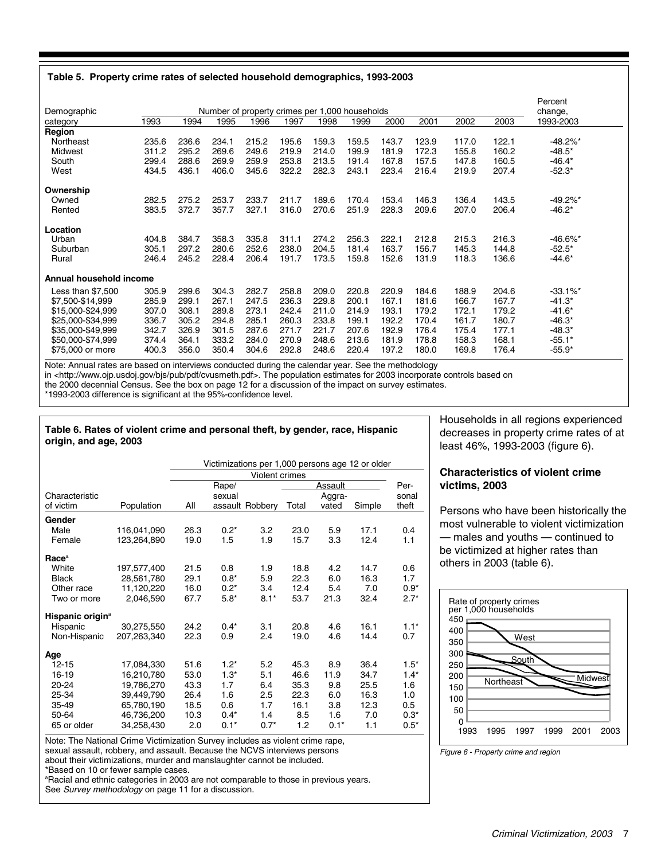#### **Table 5. Property crime rates of selected household demographics, 1993-2003**

| Demographic             |       |       |       |       |       | Number of property crimes per 1,000 households |       |       |       |       |       | Percent<br>change,     |
|-------------------------|-------|-------|-------|-------|-------|------------------------------------------------|-------|-------|-------|-------|-------|------------------------|
| category                | 1993  | 1994  | 1995  | 1996  | 1997  | 1998                                           | 1999  | 2000  | 2001  | 2002  | 2003  | 1993-2003              |
| Region                  |       |       |       |       |       |                                                |       |       |       |       |       |                        |
| Northeast               | 235.6 | 236.6 | 234.1 | 215.2 | 195.6 | 159.3                                          | 159.5 | 143.7 | 123.9 | 117.0 | 122.1 | $-48.2\%$ <sup>*</sup> |
| Midwest                 | 311.2 | 295.2 | 269.6 | 249.6 | 219.9 | 214.0                                          | 199.9 | 181.9 | 172.3 | 155.8 | 160.2 | $-48.5*$               |
| South                   | 299.4 | 288.6 | 269.9 | 259.9 | 253.8 | 213.5                                          | 191.4 | 167.8 | 157.5 | 147.8 | 160.5 | $-46.4*$               |
| West                    | 434.5 | 436.1 | 406.0 | 345.6 | 322.2 | 282.3                                          | 243.1 | 223.4 | 216.4 | 219.9 | 207.4 | $-52.3*$               |
| Ownership               |       |       |       |       |       |                                                |       |       |       |       |       |                        |
| Owned                   | 282.5 | 275.2 | 253.7 | 233.7 | 211.7 | 189.6                                          | 170.4 | 153.4 | 146.3 | 136.4 | 143.5 | $-49.2\%$ *            |
| Rented                  | 383.5 | 372.7 | 357.7 | 327.1 | 316.0 | 270.6                                          | 251.9 | 228.3 | 209.6 | 207.0 | 206.4 | $-46.2*$               |
| Location                |       |       |       |       |       |                                                |       |       |       |       |       |                        |
| Urban                   | 404.8 | 384.7 | 358.3 | 335.8 | 311.1 | 274.2                                          | 256.3 | 222.1 | 212.8 | 215.3 | 216.3 | $-46.6\%$ <sup>*</sup> |
| Suburban                | 305.1 | 297.2 | 280.6 | 252.6 | 238.0 | 204.5                                          | 181.4 | 163.7 | 156.7 | 145.3 | 144.8 | $-52.5*$               |
| Rural                   | 246.4 | 245.2 | 228.4 | 206.4 | 191.7 | 173.5                                          | 159.8 | 152.6 | 131.9 | 118.3 | 136.6 | $-44.6*$               |
| Annual household income |       |       |       |       |       |                                                |       |       |       |       |       |                        |
| Less than $$7,500$      | 305.9 | 299.6 | 304.3 | 282.7 | 258.8 | 209.0                                          | 220.8 | 220.9 | 184.6 | 188.9 | 204.6 | $-33.1\%$ <sup>*</sup> |
| \$7,500-\$14,999        | 285.9 | 299.1 | 267.1 | 247.5 | 236.3 | 229.8                                          | 200.1 | 167.1 | 181.6 | 166.7 | 167.7 | $-41.3*$               |
| \$15,000-\$24,999       | 307.0 | 308.1 | 289.8 | 273.1 | 242.4 | 211.0                                          | 214.9 | 193.1 | 179.2 | 172.1 | 179.2 | $-41.6*$               |
| \$25,000-\$34,999       | 336.7 | 305.2 | 294.8 | 285.1 | 260.3 | 233.8                                          | 199.1 | 192.2 | 170.4 | 161.7 | 180.7 | $-46.3*$               |
| \$35,000-\$49,999       | 342.7 | 326.9 | 301.5 | 287.6 | 271.7 | 221.7                                          | 207.6 | 192.9 | 176.4 | 175.4 | 177.1 | -48.3*                 |
| \$50,000-\$74,999       | 374.4 | 364.1 | 333.2 | 284.0 | 270.9 | 248.6                                          | 213.6 | 181.9 | 178.8 | 158.3 | 168.1 | $-55.1*$               |
| \$75,000 or more        | 400.3 | 356.0 | 350.4 | 304.6 | 292.8 | 248.6                                          | 220.4 | 197.2 | 180.0 | 169.8 | 176.4 | $-55.9*$               |

Note: Annual rates are based on interviews conducted during the calendar year. See the methodology in <http://www.ojp.usdoj.gov/bjs/pub/pdf/cvusmeth.pdf>. The population estimates for 2003 incorporate controls based on the 2000 decennial Census. See the box on page 12 for a discussion of the impact on survey estimates. \*1993-2003 difference is significant at the 95%-confidence level.

#### **Table 6. Rates of violent crime and personal theft, by gender, race, Hispanic origin, and age, 2003**

65 or older 34,258,430 2.0 0.1\* 0.7\* 1.2 0.1\* 1.1 0.5\* 50-64 46,736,200 10.3 0.4\* 1.4 8.5 1.6 7.0 0.3\* 35-49 65,780,190 18.5 0.6 1.7 16.1 3.8 12.3 0.5 25-34 39,449,790 26.4 1.6 2.5 22.3 6.0 16.3 1.0 20-24 19,786,270 43.3 1.7 6.4 35.3 9.8 25.5 1.6 16-19 16,210,780 53.0 1.3\* 5.1 46.6 11.9 34.7 1.4\* 12-15 17,084,330 51.6 1.2\* 5.2 45.3 8.9 36.4 1.5\* **Age** Non-Hispanic 207,263,340 22.3 0.9 2.4 19.0 4.6 14.4 0.7 Hispanic 30,275,550 24.2 0.4\* 3.1 20.8 4.6 16.1 1.1\* **Hispanic origin**<sup>a</sup> Two or more 2,046,590 67.7 5.8\* 8.1\* 53.7 21.3 32.4 2.7\* Other race 11,120,220 16.0 0.2\* 3.4 12.4 5.4 7.0 0.9\* Black 28,561,780 29.1 0.8\* 5.9 22.3 6.0 16.3 1.7<br>Other race 11.120.220 16.0 0.2\* 3.4 12.4 5.4 7.0 0.9\* White 197,577,400 21.5 0.8 1.9 18.8 4.2 14.7 0.6 **Race**<sup>a</sup> Female 123,264,890 19.0 1.5 1.9 15.7 3.3 12.4 1.1 Male 116,041,090 26.3 0.2\* 3.2 23.0 5.9 17.1 0.4 **Gender** Personal theft Assault Aggra-<br>Total vated assault Robbery Total vated Simple Rape/ sexual Population All Characteristic of victim Violent crimes Victimizations per 1,000 persons age 12 or older

Note: The National Crime Victimization Survey includes as violent crime rape, sexual assault, robbery, and assault. Because the NCVS interviews persons

about their victimizations, murder and manslaughter cannot be included.

\*Based on 10 or fewer sample cases.

<sup>a</sup>Racial and ethnic categories in 2003 are not comparable to those in previous years. See Survey methodology on page 11 for a discussion.

Households in all regions experienced decreases in property crime rates of at least 46%, 1993-2003 (figure 6).

#### **Characteristics of violent crime victims, 2003**

Persons who have been historically the most vulnerable to violent victimization — males and youths — continued to be victimized at higher rates than others in 2003 (table 6).



Figure 6 - Property crime and region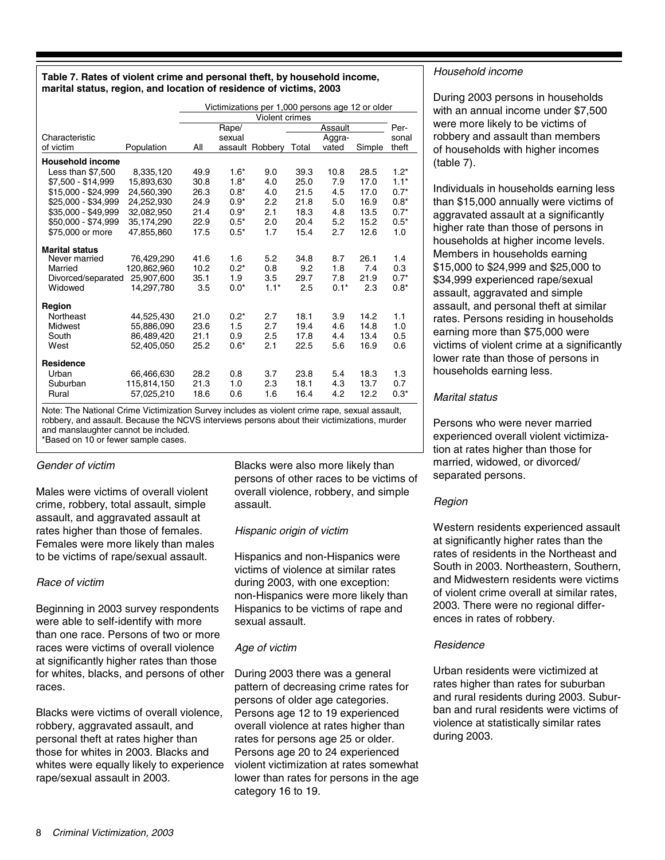#### **Table 7. Rates of violent crime and personal theft, by household income, marital status, region, and location of residence of victims, 2003**

|                         |             | Victimizations per 1,000 persons age 12 or older |        |                 |       |         |        |        |
|-------------------------|-------------|--------------------------------------------------|--------|-----------------|-------|---------|--------|--------|
|                         |             |                                                  |        | Violent crimes  |       |         |        |        |
|                         |             |                                                  | Rape/  |                 |       | Assault |        | Per-   |
| Characteristic          |             |                                                  | sexual |                 |       | Aggra-  |        | sonal  |
| of victim               | Population  | All                                              |        | assault Robbery | Total | vated   | Simple | theft  |
| <b>Household income</b> |             |                                                  |        |                 |       |         |        |        |
| Less than \$7,500       | 8,335,120   | 49.9                                             | $1.6*$ | 9.0             | 39.3  | 10.8    | 28.5   | $1.2*$ |
| \$7.500 - \$14.999      | 15.893.630  | 30.8                                             | $1.8*$ | 4.0             | 25.0  | 7.9     | 17.0   | $1.1*$ |
| \$15.000 - \$24.999     | 24,560,390  | 26.3                                             | $0.8*$ | 4.0             | 21.5  | 4.5     | 17.0   | $0.7*$ |
| \$25,000 - \$34,999     | 24.252.930  | 24.9                                             | $0.9*$ | 2.2             | 21.8  | 5.0     | 16.9   | $0.8*$ |
| \$35,000 - \$49.999     | 32,082,950  | 21.4                                             | $0.9*$ | 2.1             | 18.3  | 4.8     | 13.5   | $0.7*$ |
| \$50.000 - \$74.999     | 35.174.290  | 22.9                                             | $0.5*$ | 2.0             | 20.4  | 5.2     | 15.2   | $0.5*$ |
| \$75,000 or more        | 47,855,860  | 17.5                                             | $0.5*$ | 1.7             | 15.4  | 2.7     | 12.6   | 1.0    |
| <b>Marital status</b>   |             |                                                  |        |                 |       |         |        |        |
| Never married           | 76.429.290  | 41.6                                             | 1.6    | 5.2             | 34.8  | 8.7     | 26.1   | 1.4    |
| Married                 | 120,862,960 | 10.2                                             | $0.2*$ | 0.8             | 9.2   | 1.8     | 7.4    | 0.3    |
| Divorced/separated      | 25.907.600  | 35.1                                             | 1.9    | 3.5             | 29.7  | 7.8     | 21.9   | $0.7*$ |
| Widowed                 | 14,297,780  | 3.5                                              | $0.0*$ | $1.1*$          | 2.5   | $0.1*$  | 2.3    | $0.8*$ |
| Region                  |             |                                                  |        |                 |       |         |        |        |
| Northeast               | 44.525.430  | 21.0                                             | $0.2*$ | 2.7             | 18.1  | 3.9     | 14.2   | 1.1    |
| <b>Midwest</b>          | 55.886.090  | 23.6                                             | 1.5    | 2.7             | 19.4  | 4.6     | 14.8   | 1.0    |
| South                   | 86,489,420  | 21.1                                             | 0.9    | 2.5             | 17.8  | 4.4     | 13.4   | 0.5    |
| West                    | 52,405,050  | 25.2                                             | $0.6*$ | 2.1             | 22.5  | 5.6     | 16.9   | 0.6    |
| <b>Residence</b>        |             |                                                  |        |                 |       |         |        |        |
| Urban                   | 66,466,630  | 28.2                                             | 0.8    | 3.7             | 23.8  | 5.4     | 18.3   | 1.3    |
| Suburban                | 115,814,150 | 21.3                                             | 1.0    | 2.3             | 18.1  | 4.3     | 13.7   | 0.7    |
| Rural                   | 57,025,210  | 18.6                                             | 0.6    | 1.6             | 16.4  | 4.2     | 12.2   | $0.3*$ |

Note: The National Crime Victimization Survey includes as violent crime rape, sexual assault, robbery, and assault. Because the NCVS interviews persons about their victimizations, murder and manslaughter cannot be included. \*Based on 10 or fewer sample cases.

#### Gender of victim

Males were victims of overall violent crime, robbery, total assault, simple assault, and aggravated assault at rates higher than those of females. Females were more likely than males to be victims of rape/sexual assault.

#### Race of victim

Beginning in 2003 survey respondents were able to self-identify with more than one race. Persons of two or more races were victims of overall violence at significantly higher rates than those for whites, blacks, and persons of other races.

Blacks were victims of overall violence, robbery, aggravated assault, and personal theft at rates higher than those for whites in 2003. Blacks and whites were equally likely to experience rape/sexual assault in 2003.

Blacks were also more likely than persons of other races to be victims of overall violence, robbery, and simple assault.

#### Hispanic origin of victim

Hispanics and non-Hispanics were victims of violence at similar rates during 2003, with one exception: non-Hispanics were more likely than Hispanics to be victims of rape and sexual assault.

#### Age of victim

During 2003 there was a general pattern of decreasing crime rates for persons of older age categories. Persons age 12 to 19 experienced overall violence at rates higher than rates for persons age 25 or older. Persons age 20 to 24 experienced violent victimization at rates somewhat lower than rates for persons in the age category 16 to 19.

#### Household income

During 2003 persons in households with an annual income under \$7,500 were more likely to be victims of robbery and assault than members of households with higher incomes (table 7).

Individuals in households earning less than \$15,000 annually were victims of aggravated assault at a significantly higher rate than those of persons in households at higher income levels. Members in households earning \$15,000 to \$24,999 and \$25,000 to \$34,999 experienced rape/sexual assault, aggravated and simple assault, and personal theft at similar rates. Persons residing in households earning more than \$75,000 were victims of violent crime at a significantly lower rate than those of persons in households earning less.

### Marital status

Persons who were never married experienced overall violent victimization at rates higher than those for married, widowed, or divorced/ separated persons.

### Region

Western residents experienced assault at significantly higher rates than the rates of residents in the Northeast and South in 2003. Northeastern, Southern, and Midwestern residents were victims of violent crime overall at similar rates, 2003. There were no regional differences in rates of robbery.

### **Residence**

Urban residents were victimized at rates higher than rates for suburban and rural residents during 2003. Suburban and rural residents were victims of violence at statistically similar rates during 2003.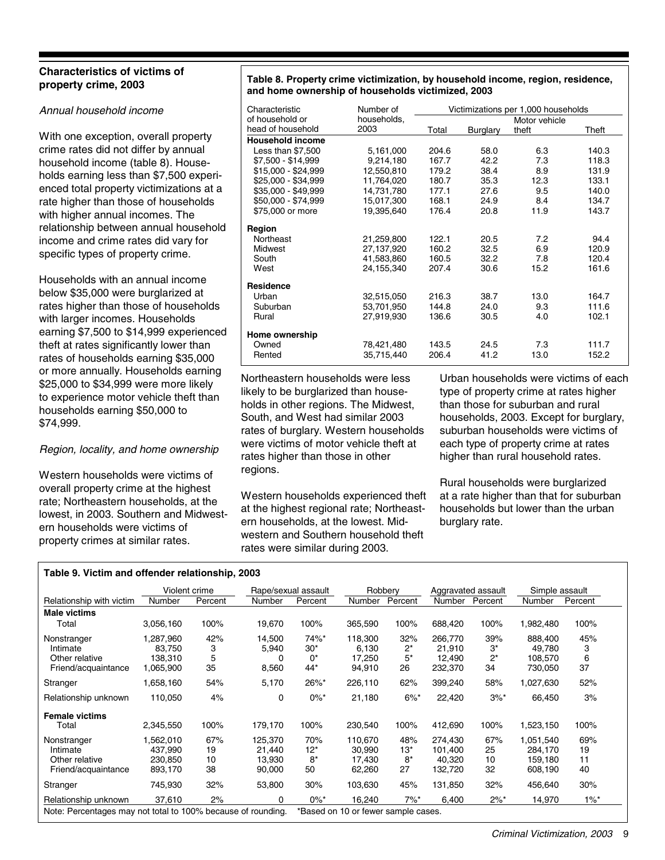#### **Characteristics of victims of property crime, 2003**

#### Annual household income

With one exception, overall property crime rates did not differ by annual household income (table 8). Households earning less than \$7,500 experienced total property victimizations at a rate higher than those of households with higher annual incomes. The relationship between annual household income and crime rates did vary for specific types of property crime.

Households with an annual income below \$35,000 were burglarized at rates higher than those of households with larger incomes. Households earning \$7,500 to \$14,999 experienced theft at rates significantly lower than rates of households earning \$35,000 or more annually. Households earning \$25,000 to \$34,999 were more likely to experience motor vehicle theft than households earning \$50,000 to \$74,999.

#### Region, locality, and home ownership

Western households were victims of overall property crime at the highest rate; Northeastern households, at the lowest, in 2003. Southern and Midwestern households were victims of property crimes at similar rates.

#### **Table 8. Property crime victimization, by household income, region, residence, and home ownership of households victimized, 2003**

| Characteristic          | Number of   | Victimizations per 1,000 households |          |               |       |  |
|-------------------------|-------------|-------------------------------------|----------|---------------|-------|--|
| of household or         | households, |                                     |          | Motor vehicle |       |  |
| head of household       | 2003        | Total                               | Burglary | theft         | Theft |  |
| <b>Household income</b> |             |                                     |          |               |       |  |
| Less than \$7,500       | 5,161,000   | 204.6                               | 58.0     | 6.3           | 140.3 |  |
| \$7,500 - \$14,999      | 9,214,180   | 167.7                               | 42.2     | 7.3           | 118.3 |  |
| \$15,000 - \$24,999     | 12,550,810  | 179.2                               | 38.4     | 8.9           | 131.9 |  |
| \$25,000 - \$34.999     | 11,764,020  | 180.7                               | 35.3     | 12.3          | 133.1 |  |
| \$35,000 - \$49,999     | 14,731,780  | 177.1                               | 27.6     | 9.5           | 140.0 |  |
| \$50,000 - \$74,999     | 15,017,300  | 168.1                               | 24.9     | 8.4           | 134.7 |  |
| \$75,000 or more        | 19,395,640  | 176.4                               | 20.8     | 11.9          | 143.7 |  |
| Region                  |             |                                     |          |               |       |  |
| Northeast               | 21,259,800  | 122.1                               | 20.5     | 7.2           | 94.4  |  |
| <b>Midwest</b>          | 27,137,920  | 160.2                               | 32.5     | 6.9           | 120.9 |  |
| South                   | 41,583,860  | 160.5                               | 32.2     | 7.8           | 120.4 |  |
| West                    | 24,155,340  | 207.4                               | 30.6     | 15.2          | 161.6 |  |
| Residence               |             |                                     |          |               |       |  |
| Urban                   | 32,515,050  | 216.3                               | 38.7     | 13.0          | 164.7 |  |
| Suburban                | 53,701,950  | 144.8                               | 24.0     | 9.3           | 111.6 |  |
| Rural                   | 27,919,930  | 136.6                               | 30.5     | 4.0           | 102.1 |  |
| Home ownership          |             |                                     |          |               |       |  |
| Owned                   | 78,421,480  | 143.5                               | 24.5     | 7.3           | 111.7 |  |
| Rented                  | 35,715,440  | 206.4                               | 41.2     | 13.0          | 152.2 |  |

Northeastern households were less likely to be burglarized than households in other regions. The Midwest, South, and West had similar 2003 rates of burglary. Western households were victims of motor vehicle theft at rates higher than those in other regions.

Western households experienced theft at the highest regional rate; Northeastern households, at the lowest. Midwestern and Southern household theft rates were similar during 2003.

Urban households were victims of each type of property crime at rates higher than those for suburban and rural households, 2003. Except for burglary, suburban households were victims of each type of property crime at rates higher than rural household rates.

Rural households were burglarized at a rate higher than that for suburban households but lower than the urban burglary rate.

#### **Table 9. Victim and offender relationship, 2003**

|                                                              |           | Violent crime | Rape/sexual assault |         |                                     | Robberv |         | Aggravated assault | Simple assault |         |
|--------------------------------------------------------------|-----------|---------------|---------------------|---------|-------------------------------------|---------|---------|--------------------|----------------|---------|
| Relationship with victim                                     | Number    | Percent       | Number              | Percent | Number                              | Percent | Number  | Percent            | Number         | Percent |
| <b>Male victims</b>                                          |           |               |                     |         |                                     |         |         |                    |                |         |
| Total                                                        | 3,056,160 | 100%          | 19,670              | 100%    | 365,590                             | 100%    | 688,420 | 100%               | 1,982,480      | 100%    |
| Nonstranger                                                  | 1,287,960 | 42%           | 14,500              | 74%*    | 118,300                             | 32%     | 266,770 | 39%                | 888.400        | 45%     |
| Intimate                                                     | 83.750    | 3             | 5,940               | $30*$   | 6,130                               | $2^*$   | 21,910  | $3^*$              | 49,780         | 3       |
| Other relative                                               | 138.310   | 5             | 0                   | $0^*$   | 17,250                              | $5*$    | 12,490  | $2^*$              | 108,570        | 6       |
| Friend/acquaintance                                          | 1,065,900 | 35            | 8,560               | $44*$   | 94,910                              | 26      | 232,370 | 34                 | 730,050        | 37      |
| Stranger                                                     | 1,658,160 | 54%           | 5,170               | 26%*    | 226,110                             | 62%     | 399,240 | 58%                | 1,027,630      | 52%     |
| Relationship unknown                                         | 110,050   | 4%            | $\Omega$            | $0\%$ * | 21,180                              | $6\%$ * | 22,420  | $3%^*$             | 66,450         | 3%      |
| <b>Female victims</b>                                        |           |               |                     |         |                                     |         |         |                    |                |         |
| Total                                                        | 2,345,550 | 100%          | 179,170             | 100%    | 230,540                             | 100%    | 412,690 | 100%               | 1,523,150      | 100%    |
| Nonstranger                                                  | 1,562,010 | 67%           | 125,370             | 70%     | 110,670                             | 48%     | 274,430 | 67%                | 1,051,540      | 69%     |
| Intimate                                                     | 437,990   | 19            | 21,440              | $12*$   | 30,990                              | $13*$   | 101,400 | 25                 | 284,170        | 19      |
| Other relative                                               | 230,850   | 10            | 13,930              | $8*$    | 17,430                              | $8*$    | 40,320  | 10                 | 159,180        | 11      |
| Friend/acquaintance                                          | 893,170   | 38            | 90,000              | 50      | 62,260                              | 27      | 132,720 | 32                 | 608,190        | 40      |
| Stranger                                                     | 745,930   | 32%           | 53,800              | 30%     | 103,630                             | 45%     | 131,850 | 32%                | 456,640        | 30%     |
| Relationship unknown                                         | 37,610    | 2%            | 0                   | $0\%$ * | 16,240                              | $7\%$ * | 6,400   | $2\%^*$            | 14,970         | $1\%$ * |
| Note: Percentages may not total to 100% because of rounding. |           |               |                     |         | *Based on 10 or fewer sample cases. |         |         |                    |                |         |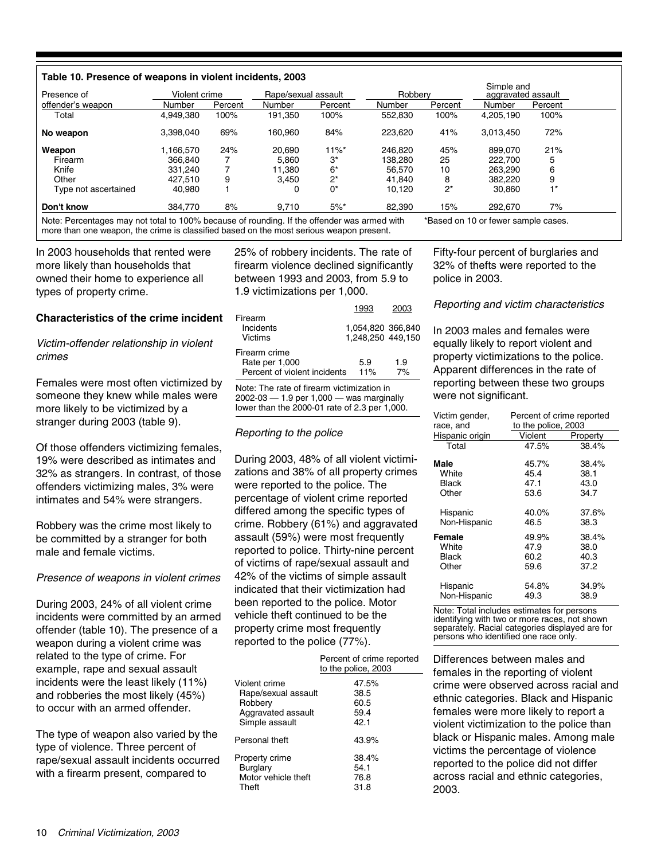#### **Table 10. Presence of weapons in violent incidents, 2003**

| Presence of          | Violent crime |         | Rape/sexual assault |          | Robberv |         | Simple and<br>aggravated assault |         |
|----------------------|---------------|---------|---------------------|----------|---------|---------|----------------------------------|---------|
| offender's weapon    | Number        | Percent | Number              | Percent  | Number  | Percent | Number                           | Percent |
| Total                | 4,949,380     | 100%    | 191,350             | 100%     | 552.830 | 100%    | 4,205,190                        | 100%    |
| No weapon            | 3,398,040     | 69%     | 160.960             | 84%      | 223.620 | 41%     | 3,013,450                        | 72%     |
| Weapon               | 1.166.570     | 24%     | 20.690              | $11\%$ * | 246.820 | 45%     | 899.070                          | 21%     |
| Firearm              | 366.840       |         | 5.860               | 3*       | 138.280 | 25      | 222,700                          | 5       |
| Knife                | 331.240       |         | 11.380              | $6*$     | 56.570  | 10      | 263.290                          | 6       |
| Other                | 427.510       | 9       | 3,450               | $2^*$    | 41.840  | 8       | 382,220                          | 9       |
| Type not ascertained | 40.980        |         |                     | 0*       | 10.120  | $2^*$   | 30.860                           | $1*$    |
| Don't know           | 384.770       | 8%      | 9.710               | $5\%$ *  | 82.390  | 15%     | 292.670                          | 7%      |

more than one weapon, the crime is classified based on the most serious weapon present.

#### In 2003 households that rented were more likely than households that owned their home to experience all types of property crime.

**Characteristics of the crime incident**

Victim-offender relationship in violent crimes

Females were most often victimized by someone they knew while males were more likely to be victimized by a stranger during 2003 (table 9).

Of those offenders victimizing females, 19% were described as intimates and 32% as strangers. In contrast, of those offenders victimizing males, 3% were intimates and 54% were strangers.

Robbery was the crime most likely to be committed by a stranger for both male and female victims.

Presence of weapons in violent crimes

During 2003, 24% of all violent crime incidents were committed by an armed offender (table 10). The presence of a weapon during a violent crime was related to the type of crime. For example, rape and sexual assault incidents were the least likely (11%) and robberies the most likely (45%) to occur with an armed offender.

The type of weapon also varied by the type of violence. Three percent of rape/sexual assault incidents occurred with a firearm present, compared to

25% of robbery incidents. The rate of firearm violence declined significantly between 1993 and 2003, from 5.9 to 1.9 victimizations per 1,000.

|                                 | 1993                                   | 2003 |
|---------------------------------|----------------------------------------|------|
| Firearm<br>Incidents<br>Victims | 1,054,820 366,840<br>1.248.250 449.150 |      |
| Firearm crime<br>Rate per 1,000 | 5.9                                    | 1.9  |
| Percent of violent incidents    | 11%                                    | 7%   |
|                                 |                                        |      |

Note: The rate of firearm victimization in 2002-03 — 1.9 per 1,000 — was marginally lower than the 2000-01 rate of 2.3 per 1,000.

#### Reporting to the police

During 2003, 48% of all violent victimizations and 38% of all property crimes were reported to the police. The percentage of violent crime reported differed among the specific types of crime. Robbery (61%) and aggravated assault (59%) were most frequently reported to police. Thirty-nine percent of victims of rape/sexual assault and 42% of the victims of simple assault indicated that their victimization had been reported to the police. Motor vehicle theft continued to be the property crime most frequently reported to the police (77%).

|                     | Percent of crime reported<br>to the police, 2003 |
|---------------------|--------------------------------------------------|
| Violent crime       | 47.5%                                            |
| Rape/sexual assault | 38.5                                             |
| Robbery             | 60.5                                             |
| Aggravated assault  | 59.4                                             |
| Simple assault      | 42.1                                             |
| Personal theft      | 43.9%                                            |
| Property crime      | 38.4%                                            |
| Burglary            | 54.1                                             |
| Motor vehicle theft | 76.8                                             |
| Theft               | 31.8                                             |

Fifty-four percent of burglaries and 32% of thefts were reported to the police in 2003.

#### Reporting and victim characteristics

In 2003 males and females were equally likely to report violent and property victimizations to the police. Apparent differences in the rate of reporting between these two groups were not significant.

| Victim gender,  | Percent of crime reported |          |  |  |
|-----------------|---------------------------|----------|--|--|
| race, and       | to the police, 2003       |          |  |  |
| Hispanic origin | Violent                   | Property |  |  |
| Total           | 47.5%                     | 38.4%    |  |  |
| Male            | 45.7%                     | 38.4%    |  |  |
| White           | 45.4                      | 38.1     |  |  |
| Black           | 47.1                      | 43.0     |  |  |
| Other           | 53.6                      | 34.7     |  |  |
| Hispanic        | 40.0%                     | 37.6%    |  |  |
| Non-Hispanic    | 46.5                      | 38.3     |  |  |
| Female          | 49.9%                     | 38.4%    |  |  |
| White           | 47.9                      | 38.0     |  |  |
| Black           | 60.2                      | 40.3     |  |  |
| Other           | 59.6                      | 37.2     |  |  |
| Hispanic        | 54.8%                     | 34.9%    |  |  |
| Non-Hispanic    | 49.3                      | 38.9     |  |  |

Note: Total includes estimates for persons identifying with two or more races, not shown separately. Racial categories displayed are for persons who identified one race only. .

Differences between males and females in the reporting of violent crime were observed across racial and ethnic categories. Black and Hispanic females were more likely to report a violent victimization to the police than black or Hispanic males. Among male victims the percentage of violence reported to the police did not differ across racial and ethnic categories, 2003.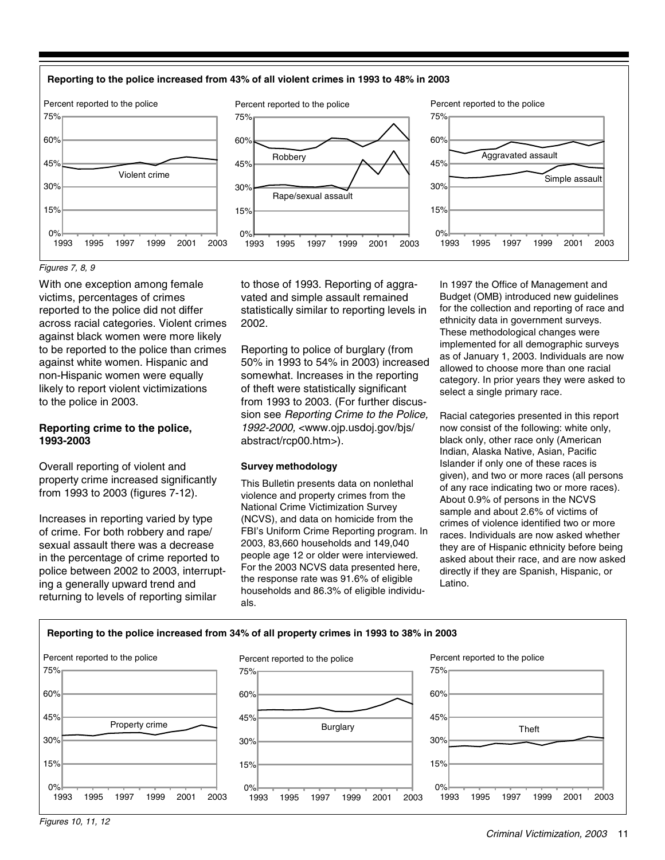

#### Figures 7, 8, 9

With one exception among female victims, percentages of crimes reported to the police did not differ across racial categories. Violent crimes against black women were more likely to be reported to the police than crimes against white women. Hispanic and non-Hispanic women were equally likely to report violent victimizations to the police in 2003.

#### **Reporting crime to the police, 1993-2003**

Overall reporting of violent and property crime increased significantly from 1993 to 2003 (figures 7-12).

Increases in reporting varied by type of crime. For both robbery and rape/ sexual assault there was a decrease in the percentage of crime reported to police between 2002 to 2003, interrupting a generally upward trend and returning to levels of reporting similar

to those of 1993. Reporting of aggravated and simple assault remained statistically similar to reporting levels in 2002.

Reporting to police of burglary (from 50% in 1993 to 54% in 2003) increased somewhat. Increases in the reporting of theft were statistically significant from 1993 to 2003. (For further discussion see Reporting Crime to the Police, 1992-2000, <www.ojp.usdoj.gov/bjs/ abstract/rcp00.htm>).

#### **Survey methodology**

This Bulletin presents data on nonlethal violence and property crimes from the National Crime Victimization Survey (NCVS), and data on homicide from the FBI's Uniform Crime Reporting program. In 2003, 83,660 households and 149,040 people age 12 or older were interviewed. For the 2003 NCVS data presented here, the response rate was 91.6% of eligible households and 86.3% of eligible individuals.

In 1997 the Office of Management and Budget (OMB) introduced new guidelines for the collection and reporting of race and ethnicity data in government surveys. These methodological changes were implemented for all demographic surveys as of January 1, 2003. Individuals are now allowed to choose more than one racial category. In prior years they were asked to select a single primary race.

Racial categories presented in this report now consist of the following: white only, black only, other race only (American Indian, Alaska Native, Asian, Pacific Islander if only one of these races is given), and two or more races (all persons of any race indicating two or more races). About 0.9% of persons in the NCVS sample and about 2.6% of victims of crimes of violence identified two or more races. Individuals are now asked whether they are of Hispanic ethnicity before being asked about their race, and are now asked directly if they are Spanish, Hispanic, or Latino.

#### **Reporting to the police increased from 34% of all property crimes in 1993 to 38% in 2003**



Figures 10, 11, 12